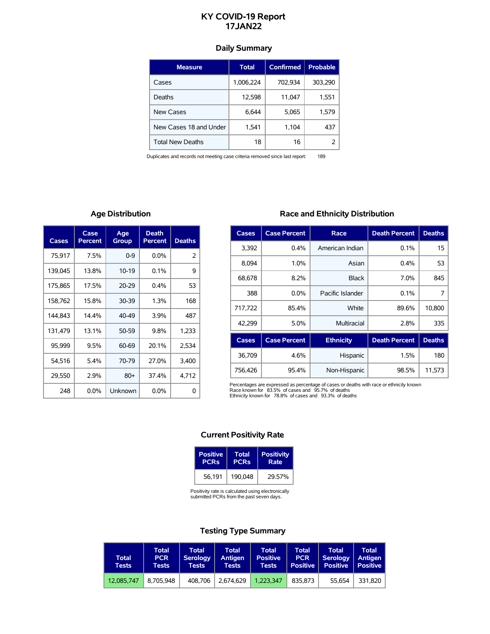# **KY COVID-19 Report 17JAN22**

# **Daily Summary**

| <b>Measure</b>          | <b>Total</b> | <b>Confirmed</b> | <b>Probable</b> |
|-------------------------|--------------|------------------|-----------------|
| Cases                   | 1,006,224    | 702,934          | 303,290         |
| Deaths                  | 12,598       | 11,047           | 1,551           |
| New Cases               | 6.644        | 5,065            | 1,579           |
| New Cases 18 and Under  | 1,541        | 1,104            | 437             |
| <b>Total New Deaths</b> | 18           | 16               |                 |

Duplicates and records not meeting case criteria removed since last report: 189

# **Age Distribution**

| Cases   | Case<br>Percent | Age<br>Group | <b>Death</b><br><b>Percent</b> | <b>Deaths</b> |
|---------|-----------------|--------------|--------------------------------|---------------|
| 75,917  | 7.5%            | $0 - 9$      | $0.0\%$                        | 2             |
| 139,045 | 13.8%           | $10-19$      | 0.1%                           | 9             |
| 175,865 | 17.5%           | $20 - 29$    | $0.4\%$                        | 53            |
| 158,762 | 15.8%           | 30-39        | 1.3%                           | 168           |
| 144.843 | 14.4%           | 40-49        | 3.9%                           | 487           |
| 131,479 | 13.1%           | 50-59        | 9.8%                           | 1,233         |
| 95,999  | 9.5%            | 60-69        | 20.1%                          | 2,534         |
| 54,516  | $5.4\%$         | 70-79        | 27.0%                          | 3,400         |
| 29,550  | 2.9%            | $80+$        | 37.4%                          | 4,712         |
| 248     | $0.0\%$         | Unknown      | $0.0\%$                        | 0             |

# **Race and Ethnicity Distribution**

| Cases   | <b>Case Percent</b> | Race             | <b>Death Percent</b> | <b>Deaths</b> |
|---------|---------------------|------------------|----------------------|---------------|
| 3,392   | $0.4\%$             | American Indian  | 0.1%                 | 15            |
| 8.094   | 1.0%                | Asian            | 0.4%                 | 53            |
| 68.678  | 8.2%                | <b>Black</b>     | 7.0%                 | 845           |
| 388     | $0.0\%$             | Pacific Islander | 0.1%                 | 7             |
| 717,722 | 85.4%               | White            | 89.6%                | 10,800        |
| 42,299  | $5.0\%$             | Multiracial      | 2.8%                 | 335           |
| Cases   | <b>Case Percent</b> | <b>Ethnicity</b> | <b>Death Percent</b> | <b>Deaths</b> |

| Cases 1 | Case Percent | EUTHCILY     | Death Percent   Deaths |        |
|---------|--------------|--------------|------------------------|--------|
| 36.709  | 4.6%         | Hispanic     | 1.5%                   | 180    |
| 756.426 | 95.4%        | Non-Hispanic | 98.5%                  | 11.573 |

Percentages are expressed as percentage of cases or deaths with race or ethnicity known<br>Race known for 83.5% of cases and 95.7% of deaths<br>Ethnicity known for 78.8% of cases and 93.3% of deaths

### **Current Positivity Rate**

| Positive               | Total       | <b>Positivity</b> |
|------------------------|-------------|-------------------|
| <b>PCR<sub>s</sub></b> | <b>PCRs</b> | Rate              |
| 56.191                 | 190.048     | 29.57%            |

Positivity rate is calculated using electronically submitted PCRs from the past seven days.

# **Testing Type Summary**

| <b>Total</b><br>Tests | Total<br><b>PCR</b><br>Tests | Total<br><b>Serology</b><br><b>Tests</b> | Total<br>Antigen<br><b>Tests</b> | Total<br><b>Positive</b><br><b>Tests</b> | Total<br><b>PCR</b><br><b>Positive</b> | <b>Total</b><br><b>Serology</b><br><b>Positive</b> | <b>Total</b><br>Antigen<br>  Positive |
|-----------------------|------------------------------|------------------------------------------|----------------------------------|------------------------------------------|----------------------------------------|----------------------------------------------------|---------------------------------------|
| 12.085.747            | 8.705.948                    | 408.706                                  | 2.674.629                        | 1.223.347                                | 835.873                                | 55.654                                             | 331.820                               |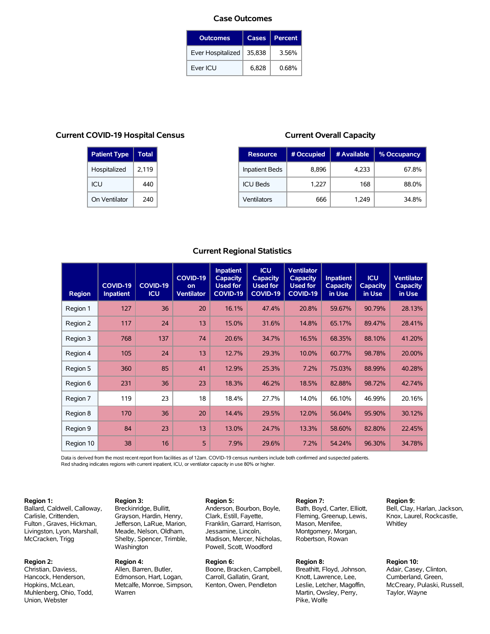#### **Case Outcomes**

| <b>Outcomes</b>   | Cases  | <b>Percent</b> |
|-------------------|--------|----------------|
| Ever Hospitalized | 35,838 | 3.56%          |
| Ever ICU          | 6.828  | 0.68%          |

### **Current COVID-19 Hospital Census**

| <b>Patient Type</b> | <b>Total</b> |
|---------------------|--------------|
| Hospitalized        | 2,119        |
| ICU                 | 440          |
| On Ventilator       | 240          |

**Region 3:** Breckinridge, Bullitt, Grayson, Hardin, Henry, Jefferson, LaRue, Marion, Meade, Nelson, Oldham, Shelby, Spencer, Trimble,

Washington **Region 4:**

Warren

Allen, Barren, Butler, Edmonson, Hart, Logan, Metcalfe, Monroe, Simpson,

### **Current Overall Capacity**

| <b>Resource</b>       | # Occupied | # Available | % Occupancy |
|-----------------------|------------|-------------|-------------|
| <b>Inpatient Beds</b> | 8,896      | 4,233       | 67.8%       |
| <b>ICU Beds</b>       | 1,227      | 168         | 88.0%       |
| Ventilators           | 666        | 1.249       | 34 8%       |

## **Current Regional Statistics**

| <b>Region</b> | <b>COVID-19</b><br><b>Inpatient</b> | <b>COVID-19</b><br><b>ICU</b> | <b>COVID-19</b><br>on<br><b>Ventilator</b> | <b>Inpatient</b><br><b>Capacity</b><br><b>Used for</b><br>COVID-19 | <b>ICU</b><br><b>Capacity</b><br><b>Used for</b><br><b>COVID-19</b> | <b>Ventilator</b><br><b>Capacity</b><br><b>Used for</b><br><b>COVID-19</b> | <b>Inpatient</b><br><b>Capacity</b><br>in Use | <b>ICU</b><br><b>Capacity</b><br>in Use | <b>Ventilator</b><br><b>Capacity</b><br>in Use |
|---------------|-------------------------------------|-------------------------------|--------------------------------------------|--------------------------------------------------------------------|---------------------------------------------------------------------|----------------------------------------------------------------------------|-----------------------------------------------|-----------------------------------------|------------------------------------------------|
| Region 1      | 127                                 | 36                            | 20                                         | 16.1%                                                              | 47.4%                                                               | 20.8%                                                                      | 59.67%                                        | 90.79%                                  | 28.13%                                         |
| Region 2      | 117                                 | 24                            | 13                                         | 15.0%                                                              | 31.6%                                                               | 14.8%                                                                      | 65.17%                                        | 89.47%                                  | 28.41%                                         |
| Region 3      | 768                                 | 137                           | 74                                         | 20.6%                                                              | 34.7%                                                               | 16.5%                                                                      | 68.35%                                        | 88.10%                                  | 41.20%                                         |
| Region 4      | 105                                 | 24                            | 13                                         | 12.7%                                                              | 29.3%                                                               | 10.0%                                                                      | 60.77%                                        | 98.78%                                  | 20.00%                                         |
| Region 5      | 360                                 | 85                            | 41                                         | 12.9%                                                              | 25.3%                                                               | 7.2%                                                                       | 75.03%                                        | 88.99%                                  | 40.28%                                         |
| Region 6      | 231                                 | 36                            | 23                                         | 18.3%                                                              | 46.2%                                                               | 18.5%                                                                      | 82.88%                                        | 98.72%                                  | 42.74%                                         |
| Region 7      | 119                                 | 23                            | 18                                         | 18.4%                                                              | 27.7%                                                               | 14.0%                                                                      | 66.10%                                        | 46.99%                                  | 20.16%                                         |
| Region 8      | 170                                 | 36                            | 20                                         | 14.4%                                                              | 29.5%                                                               | 12.0%                                                                      | 56.04%                                        | 95.90%                                  | 30.12%                                         |
| Region 9      | 84                                  | 23                            | 13                                         | 13.0%                                                              | 24.7%                                                               | 13.3%                                                                      | 58.60%                                        | 82.80%                                  | 22.45%                                         |
| Region 10     | 38                                  | 16                            | 5                                          | 7.9%                                                               | 29.6%                                                               | 7.2%                                                                       | 54.24%                                        | 96.30%                                  | 34.78%                                         |

Data is derived from the most recent report from facilities as of 12am. COVID-19 census numbers include both confirmed and suspected patients. Red shading indicates regions with current inpatient, ICU, or ventilator capacity in use 80% or higher.

#### **Region 1:**

Ballard, Caldwell, Calloway, Carlisle, Crittenden, Fulton , Graves, Hickman, Livingston, Lyon, Marshall, McCracken, Trigg

#### **Region 2:**

Christian, Daviess, Hancock, Henderson, Hopkins, McLean, Muhlenberg, Ohio, Todd, Union, Webster

## **Region 5:**

Anderson, Bourbon, Boyle, Clark, Estill, Fayette, Franklin, Garrard, Harrison, Jessamine, Lincoln, Madison, Mercer, Nicholas, Powell, Scott, Woodford

#### **Region 6:**

Boone, Bracken, Campbell, Carroll, Gallatin, Grant, Kenton, Owen, Pendleton

**Region 7:** Bath, Boyd, Carter, Elliott, Fleming, Greenup, Lewis, Mason, Menifee, Montgomery, Morgan, Robertson, Rowan

#### **Region 8:**

Breathitt, Floyd, Johnson, Knott, Lawrence, Lee, Leslie, Letcher, Magoffin, Martin, Owsley, Perry, Pike, Wolfe

#### **Region 9:**

Bell, Clay, Harlan, Jackson, Knox, Laurel, Rockcastle, **Whitley** 

## **Region 10:**

Adair, Casey, Clinton, Cumberland, Green, McCreary, Pulaski, Russell, Taylor, Wayne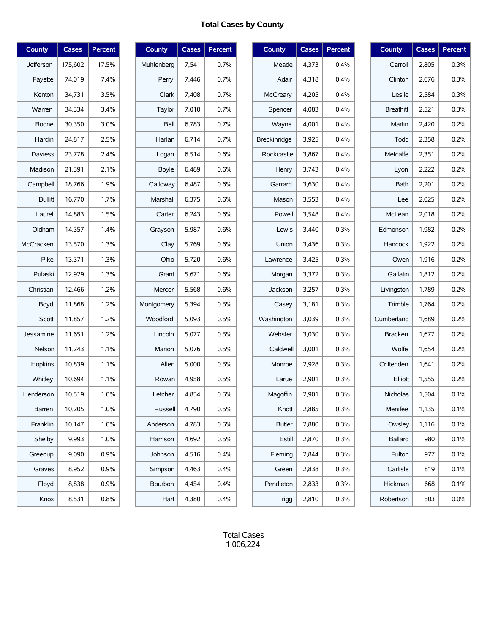# **Total Cases by County**

| <b>County</b>  | <b>Cases</b> | <b>Percent</b> |
|----------------|--------------|----------------|
| Jefferson      | 175,602      | 17.5%          |
| Fayette        | 74,019       | 7.4%           |
| Kenton         | 34,731       | 3.5%           |
| Warren         | 34,334       | 3.4%           |
| Boone          | 30,350       | 3.0%           |
| Hardin         | 24,817       | 2.5%           |
| <b>Daviess</b> | 23,778       | 2.4%           |
| Madison        | 21,391       | 2.1%           |
| Campbell       | 18,766       | 1.9%           |
| <b>Bullitt</b> | 16,770       | 1.7%           |
| Laurel         | 14,883       | 1.5%           |
| Oldham         | 14,357       | 1.4%           |
| McCracken      | 13,570       | 1.3%           |
| Pike           | 13,371       | 1.3%           |
| Pulaski        | 12,929       | 1.3%           |
| Christian      | 12,466       | 1.2%           |
| Boyd           | 11,868       | 1.2%           |
| Scott          | 11,857       | 1.2%           |
| Jessamine      | 11,651       | 1.2%           |
| Nelson         | 11,243       | 1.1%           |
| Hopkins        | 10,839       | 1.1%           |
| Whitley        | 10,694       | 1.1%           |
| Henderson      | 10,519       | 1.0%           |
| Barren         | 10,205       | 1.0%           |
| Franklin       | 10,147       | 1.0%           |
| Shelby         | 9,993        | 1.0%           |
| Greenup        | 9,090        | 0.9%           |
| Graves         | 8,952        | 0.9%           |
| Floyd          | 8,838        | 0.9%           |
| Knox           | 8,531        | 0.8%           |

| <b>County</b> | <b>Cases</b> | Percent |
|---------------|--------------|---------|
| Muhlenberg    | 7,541        | 0.7%    |
| Perry         | 7,446        | 0.7%    |
| Clark         | 7,408        | 0.7%    |
| Taylor        | 7,010        | 0.7%    |
| Bell          | 6,783        | 0.7%    |
| Harlan        | 6,714        | 0.7%    |
| Logan         | 6,514        | 0.6%    |
| Boyle         | 6,489        | 0.6%    |
| Calloway      | 6,487        | 0.6%    |
| Marshall      | 6,375        | 0.6%    |
| Carter        | 6,243        | 0.6%    |
| Grayson       | 5,987        | 0.6%    |
| Clay          | 5,769        | 0.6%    |
| Ohio          | 5,720        | 0.6%    |
| Grant         | 5,671        | 0.6%    |
| Mercer        | 5,568        | 0.6%    |
| Montgomery    | 5,394        | 0.5%    |
| Woodford      | 5,093        | 0.5%    |
| Lincoln       | 5,077        | 0.5%    |
| Marion        | 5,076        | 0.5%    |
| Allen         | 5,000        | 0.5%    |
| Rowan         | 4,958        | 0.5%    |
| Letcher       | 4,854        | 0.5%    |
| Russell       | 4,790        | 0.5%    |
| Anderson      | 4,783        | 0.5%    |
| Harrison      | 4,692        | 0.5%    |
| Johnson       | 4,516        | 0.4%    |
| Simpson       | 4,463        | 0.4%    |
| Bourbon       | 4,454        | 0.4%    |
| Hart          | 4,380        | 0.4%    |

| <b>County</b>       | <b>Cases</b> | Percent |
|---------------------|--------------|---------|
| Meade               | 4,373        | 0.4%    |
| Adair               | 4,318        | $0.4\%$ |
| <b>McCreary</b>     | 4,205        | 0.4%    |
| Spencer             | 4,083        | 0.4%    |
| Wayne               | 4,001        | 0.4%    |
| <b>Breckinridge</b> | 3,925        | 0.4%    |
| Rockcastle          | 3,867        | 0.4%    |
| Henry               | 3,743        | 0.4%    |
| Garrard             | 3,630        | $0.4\%$ |
| Mason               | 3,553        | 0.4%    |
| Powell              | 3,548        | 0.4%    |
| Lewis               | 3,440        | 0.3%    |
| Union               | 3,436        | 0.3%    |
| Lawrence            | 3,425        | 0.3%    |
| Morgan              | 3,372        | 0.3%    |
| Jackson             | 3,257        | 0.3%    |
| Casey               | 3,181        | 0.3%    |
| Washington          | 3,039        | 0.3%    |
| Webster             | 3,030        | 0.3%    |
| Caldwell            | 3,001        | 0.3%    |
| Monroe              | 2,928        | 0.3%    |
| Larue               | 2,901        | 0.3%    |
| Magoffin            | 2,901        | 0.3%    |
| Knott               | 2,885        | 0.3%    |
| Butler              | 2,880        | 0.3%    |
| Estill              | 2,870        | 0.3%    |
| Fleming             | 2,844        | 0.3%    |
| Green               | 2,838        | 0.3%    |
| Pendleton           | 2,833        | 0.3%    |
| Trigg               | 2,810        | 0.3%    |

| <b>County</b>    | Cases | Percent |
|------------------|-------|---------|
| Carroll          | 2,805 | 0.3%    |
| Clinton          | 2,676 | 0.3%    |
| Leslie           | 2,584 | 0.3%    |
| <b>Breathitt</b> | 2,521 | 0.3%    |
| Martin           | 2,420 | 0.2%    |
| Todd             | 2,358 | 0.2%    |
| Metcalfe         | 2,351 | 0.2%    |
| Lyon             | 2,222 | 0.2%    |
| Bath             | 2,201 | 0.2%    |
| Lee              | 2,025 | 0.2%    |
| McLean           | 2,018 | 0.2%    |
| Edmonson         | 1,982 | 0.2%    |
| Hancock          | 1,922 | 0.2%    |
| Owen             | 1,916 | 0.2%    |
| Gallatin         | 1,812 | 0.2%    |
| Livingston       | 1,789 | 0.2%    |
| Trimble          | 1,764 | 0.2%    |
| Cumberland       | 1,689 | 0.2%    |
| <b>Bracken</b>   | 1,677 | 0.2%    |
| Wolfe            | 1,654 | 0.2%    |
| Crittenden       | 1,641 | 0.2%    |
| Elliott          | 1,555 | 0.2%    |
| Nicholas         | 1,504 | 0.1%    |
| Menifee          | 1,135 | 0.1%    |
| Owsley           | 1,116 | 0.1%    |
| Ballard          | 980   | 0.1%    |
| Fulton           | 977   | 0.1%    |
| Carlisle         | 819   | 0.1%    |
| Hickman          | 668   | 0.1%    |
| Robertson        | 503   | $0.0\%$ |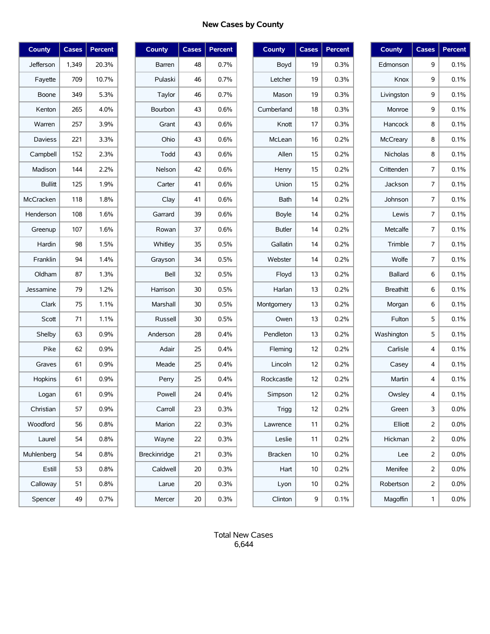# **New Cases by County**

| County         | <b>Cases</b> | Percent |
|----------------|--------------|---------|
| Jefferson      | 1,349        | 20.3%   |
| Fayette        | 709          | 10.7%   |
| Boone          | 349          | 5.3%    |
| Kenton         | 265          | 4.0%    |
| Warren         | 257          | 3.9%    |
| <b>Daviess</b> | 221          | 3.3%    |
| Campbell       | 152          | 2.3%    |
| Madison        | 144          | 2.2%    |
| <b>Bullitt</b> | 125          | 1.9%    |
| McCracken      | 118          | 1.8%    |
| Henderson      | 108          | 1.6%    |
| Greenup        | 107          | 1.6%    |
| Hardin         | 98           | 1.5%    |
| Franklin       | 94           | 1.4%    |
| Oldham         | 87           | 1.3%    |
| Jessamine      | 79           | 1.2%    |
| Clark          | 75           | 1.1%    |
| Scott          | 71           | 1.1%    |
| Shelby         | 63           | 0.9%    |
| Pike           | 62           | 0.9%    |
| Graves         | 61           | 0.9%    |
| Hopkins        | 61           | 0.9%    |
| Logan          | 61           | 0.9%    |
| Christian      | 57           | $0.9\%$ |
| Woodford       | 56           | 0.8%    |
| Laurel         | 54           | 0.8%    |
| Muhlenberg     | 54           | 0.8%    |
| Estill         | 53           | 0.8%    |
| Calloway       | 51           | 0.8%    |
| Spencer        | 49           | 0.7%    |

| <b>County</b>   | Cases | Percent |
|-----------------|-------|---------|
| Barren          | 48    | 0.7%    |
| Pulaski         | 46    | 0.7%    |
| Taylor          | 46    | 0.7%    |
| Bourbon         | 43    | 0.6%    |
| Grant           | 43    | 0.6%    |
| Ohio            | 43    | 0.6%    |
| Todd            | 43    | 0.6%    |
| Nelson          | 42    | 0.6%    |
| Carter          | 41    | 0.6%    |
| Clay            | 41    | 0.6%    |
| Garrard         | 39    | 0.6%    |
| Rowan           | 37    | 0.6%    |
| Whitley         | 35    | 0.5%    |
| Grayson         | 34    | 0.5%    |
| Bell            | 32    | 0.5%    |
| Harrison        | 30    | 0.5%    |
| <b>Marshall</b> | 30    | 0.5%    |
| Russell         | 30    | 0.5%    |
| Anderson        | 28    | 0.4%    |
| Adair           | 25    | 0.4%    |
| Meade           | 25    | 0.4%    |
| Perry           | 25    | 0.4%    |
| Powell          | 24    | 0.4%    |
| Carroll         | 23    | 0.3%    |
| Marion          | 22    | 0.3%    |
| Wayne           | 22    | 0.3%    |
| Breckinridge    | 21    | 0.3%    |
| Caldwell        | 20    | 0.3%    |
| Larue           | 20    | 0.3%    |
| Mercer          | 20    | 0.3%    |

| <b>County</b>  | <b>Cases</b> | Percent |
|----------------|--------------|---------|
| Boyd           | 19           | 0.3%    |
| Letcher        | 19           | 0.3%    |
| Mason          | 19           | 0.3%    |
| Cumberland     | 18           | 0.3%    |
| Knott          | 17           | 0.3%    |
| McLean         | 16           | 0.2%    |
| Allen          | 15           | 0.2%    |
| Henry          | 15           | 0.2%    |
| Union          | 15           | 0.2%    |
| Bath           | 14           | 0.2%    |
| <b>Boyle</b>   | 14           | 0.2%    |
| <b>Butler</b>  | 14           | 0.2%    |
| Gallatin       | 14           | 0.2%    |
| Webster        | 14           | 0.2%    |
| Floyd          | 13           | 0.2%    |
| Harlan         | 13           | 0.2%    |
| Montgomery     | 13           | 0.2%    |
| Owen           | 13           | 0.2%    |
| Pendleton      | 13           | 0.2%    |
| Fleming        | 12           | 0.2%    |
| Lincoln        | 12           | 0.2%    |
| Rockcastle     | 12           | 0.2%    |
| Simpson        | 12           | 0.2%    |
| <b>Trigg</b>   | 12           | 0.2%    |
| Lawrence       | 11           | 0.2%    |
| Leslie         | 11           | 0.2%    |
| <b>Bracken</b> | 10           | 0.2%    |
| Hart           | 10           | 0.2%    |
| Lyon           | 10           | 0.2%    |
| Clinton        | 9            | 0.1%    |

| <b>County</b>    | <b>Cases</b>   | Percent |
|------------------|----------------|---------|
| Edmonson         | 9              | 0.1%    |
| Knox             | 9              | 0.1%    |
| Livingston       | 9              | 0.1%    |
| Monroe           | 9              | 0.1%    |
| Hancock          | 8              | 0.1%    |
| McCreary         | 8              | 0.1%    |
| Nicholas         | 8              | 0.1%    |
| Crittenden       | 7              | 0.1%    |
| Jackson          | 7              | 0.1%    |
| Johnson          | 7              | 0.1%    |
| Lewis            | 7              | 0.1%    |
| Metcalfe         | 7              | 0.1%    |
| Trimble          | 7              | 0.1%    |
| Wolfe            | 7              | 0.1%    |
| <b>Ballard</b>   | 6              | 0.1%    |
| <b>Breathitt</b> | 6              | 0.1%    |
| Morgan           | 6              | 0.1%    |
| Fulton           | 5              | 0.1%    |
| Washington       | 5              | 0.1%    |
| Carlisle         | 4              | 0.1%    |
| Casey            | 4              | 0.1%    |
| Martin           | 4              | 0.1%    |
| Owsley           | 4              | 0.1%    |
| Green            | 3              | $0.0\%$ |
| Elliott          | 2              | 0.0%    |
| Hickman          | 2              | 0.0%    |
| Lee              | 2              | $0.0\%$ |
| Menifee          | 2              | $0.0\%$ |
| Robertson        | $\overline{2}$ | $0.0\%$ |
| Magoffin         | 1              | 0.0%    |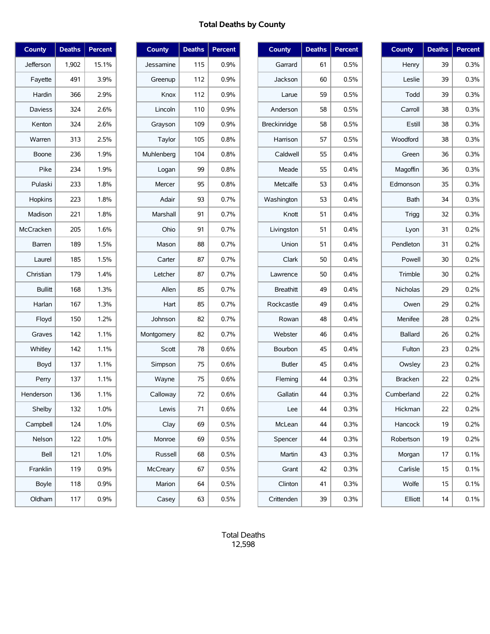# **Total Deaths by County**

| County         | <b>Deaths</b> | Percent |
|----------------|---------------|---------|
| Jefferson      | 1,902         | 15.1%   |
| Fayette        | 491           | 3.9%    |
| Hardin         | 366           | 2.9%    |
| <b>Daviess</b> | 324           | 2.6%    |
| Kenton         | 324           | 2.6%    |
| Warren         | 313           | 2.5%    |
| Boone          | 236           | 1.9%    |
| Pike           | 234           | 1.9%    |
| Pulaski        | 233           | 1.8%    |
| Hopkins        | 223           | 1.8%    |
| Madison        | 221           | 1.8%    |
| McCracken      | 205           | 1.6%    |
| Barren         | 189           | 1.5%    |
| Laurel         | 185           | 1.5%    |
| Christian      | 179           | 1.4%    |
| <b>Bullitt</b> | 168           | 1.3%    |
| Harlan         | 167           | 1.3%    |
| Floyd          | 150           | 1.2%    |
| Graves         | 142           | 1.1%    |
| Whitley        | 142           | 1.1%    |
| Boyd           | 137           | 1.1%    |
| Perry          | 137           | 1.1%    |
| Henderson      | 136           | 1.1%    |
| Shelby         | 132           | 1.0%    |
| Campbell       | 124           | 1.0%    |
| Nelson         | 122           | 1.0%    |
| Bell           | 121           | 1.0%    |
| Franklin       | 119           | 0.9%    |
| <b>Boyle</b>   | 118           | 0.9%    |
| Oldham         | 117           | 0.9%    |

| <b>County</b>   | <b>Deaths</b> | Percent |
|-----------------|---------------|---------|
| Jessamine       | 115           | $0.9\%$ |
| Greenup         | 112           | 0.9%    |
| Knox            | 112           | $0.9\%$ |
| Lincoln         | 110           | 0.9%    |
| Grayson         | 109           | 0.9%    |
| Taylor          | 105           | 0.8%    |
| Muhlenberg      | 104           | 0.8%    |
| Logan           | 99            | 0.8%    |
| Mercer          | 95            | 0.8%    |
| Adair           | 93            | 0.7%    |
| <b>Marshall</b> | 91            | 0.7%    |
| Ohio            | 91            | 0.7%    |
| Mason           | 88            | 0.7%    |
| Carter          | 87            | 0.7%    |
| Letcher         | 87            | 0.7%    |
| Allen           | 85            | 0.7%    |
| Hart            | 85            | 0.7%    |
| Johnson         | 82            | 0.7%    |
| Montgomery      | 82            | 0.7%    |
| Scott           | 78            | 0.6%    |
| Simpson         | 75            | 0.6%    |
| Wayne           | 75            | 0.6%    |
| Calloway        | 72            | 0.6%    |
| Lewis           | 71            | 0.6%    |
| Clay            | 69            | 0.5%    |
| Monroe          | 69            | 0.5%    |
| Russell         | 68            | 0.5%    |
| McCreary        | 67            | 0.5%    |
| Marion          | 64            | 0.5%    |
| Casey           | 63            | 0.5%    |

| <b>County</b>    | <b>Deaths</b> | Percent |
|------------------|---------------|---------|
| Garrard          | 61            | 0.5%    |
| Jackson          | 60            | 0.5%    |
| Larue            | 59            | 0.5%    |
| Anderson         | 58            | 0.5%    |
| Breckinridge     | 58            | 0.5%    |
| Harrison         | 57            | 0.5%    |
| Caldwell         | 55            | 0.4%    |
| Meade            | 55            | 0.4%    |
| Metcalfe         | 53            | $0.4\%$ |
| Washington       | 53            | 0.4%    |
| Knott            | 51            | 0.4%    |
| Livingston       | 51            | 0.4%    |
| Union            | 51            | 0.4%    |
| Clark            | 50            | 0.4%    |
| Lawrence         | 50            | 0.4%    |
| <b>Breathitt</b> | 49            | 0.4%    |
| Rockcastle       | 49            | 0.4%    |
| Rowan            | 48            | $0.4\%$ |
| Webster          | 46            | 0.4%    |
| Bourbon          | 45            | 0.4%    |
| <b>Butler</b>    | 45            | 0.4%    |
| Fleming          | 44            | 0.3%    |
| Gallatin         | 44            | 0.3%    |
| Lee              | 44            | 0.3%    |
| McLean           | 44            | 0.3%    |
| Spencer          | 44            | 0.3%    |
| Martin           | 43            | 0.3%    |
| Grant            | 42            | 0.3%    |
| Clinton          | 41            | 0.3%    |
| Crittenden       | 39            | 0.3%    |

| <b>County</b>   | <b>Deaths</b> | <b>Percent</b> |
|-----------------|---------------|----------------|
| Henry           | 39            | 0.3%           |
| Leslie          | 39            | 0.3%           |
| Todd            | 39            | 0.3%           |
| Carroll         | 38            | 0.3%           |
| Estill          | 38            | 0.3%           |
| Woodford        | 38            | 0.3%           |
| Green           | 36            | 0.3%           |
| Magoffin        | 36            | 0.3%           |
| Edmonson        | 35            | 0.3%           |
| Bath            | 34            | 0.3%           |
| Trigg           | 32            | 0.3%           |
| Lyon            | 31            | 0.2%           |
| Pendleton       | 31            | 0.2%           |
| Powell          | 30            | 0.2%           |
| Trimble         | 30            | 0.2%           |
| <b>Nicholas</b> | 29            | 0.2%           |
| Owen            | 29            | 0.2%           |
| Menifee         | 28            | 0.2%           |
| <b>Ballard</b>  | 26            | 0.2%           |
| Fulton          | 23            | 0.2%           |
| Owsley          | 23            | 0.2%           |
| <b>Bracken</b>  | 22            | 0.2%           |
| Cumberland      | 22            | 0.2%           |
| Hickman         | 22            | 0.2%           |
| Hancock         | 19            | 0.2%           |
| Robertson       | 19            | 0.2%           |
| Morgan          | 17            | $0.1\%$        |
| Carlisle        | 15            | 0.1%           |
| Wolfe           | 15            | 0.1%           |
| Elliott         | 14            | 0.1%           |

Total Deaths 12,598